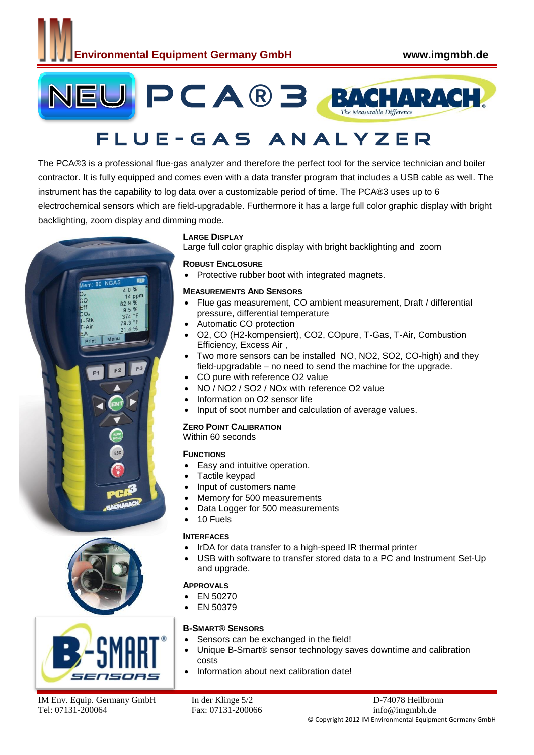

# F L U E - G A S A N A L Y Z E R

The PCA®3 is a professional flue-gas analyzer and therefore the perfect tool for the service technician and boiler contractor. It is fully equipped and comes even with a data transfer program that includes a USB cable as well. The instrument has the capability to log data over a customizable period of time. The PCA®3 uses up to 6 electrochemical sensors which are field-upgradable. Furthermore it has a large full color graphic display with bright backlighting, zoom display and dimming mode.







#### **LARGE DISPLAY**

Large full color graphic display with bright backlighting and zoom

#### **ROBUST ENCLOSURE**

• Protective rubber boot with integrated magnets.

#### **MEASUREMENTS AND SENSORS**

- Flue gas measurement, CO ambient measurement, Draft / differential pressure, differential temperature
- Automatic CO protection
- O2, CO (H2-kompensiert), CO2, COpure, T-Gas, T-Air, Combustion Efficiency, Excess Air ,
- Two more sensors can be installed NO, NO2, SO2, CO-high) and they field-upgradable – no need to send the machine for the upgrade.
- CO pure with reference O2 value
- NO / NO2 / SO2 / NOx with reference O2 value
- Information on O2 sensor life
- Input of soot number and calculation of average values.

#### **ZERO POINT CALIBRATION**

#### Within 60 seconds

#### **FUNCTIONS**

- Easy and intuitive operation.
- Tactile keypad
- Input of customers name
- Memory for 500 measurements
- Data Logger for 500 measurements
- 10 Fuels

#### **INTERFACES**

- IrDA for data transfer to a high-speed IR thermal printer
- USB with software to transfer stored data to a PC and Instrument Set-Up and upgrade.

#### **APPROVALS**

- EN 50270
- EN 50379

#### **B-SMART® SENSORS**

- Sensors can be exchanged in the field!
- Unique B-Smart® sensor technology saves downtime and calibration costs
- Information about next calibration date!